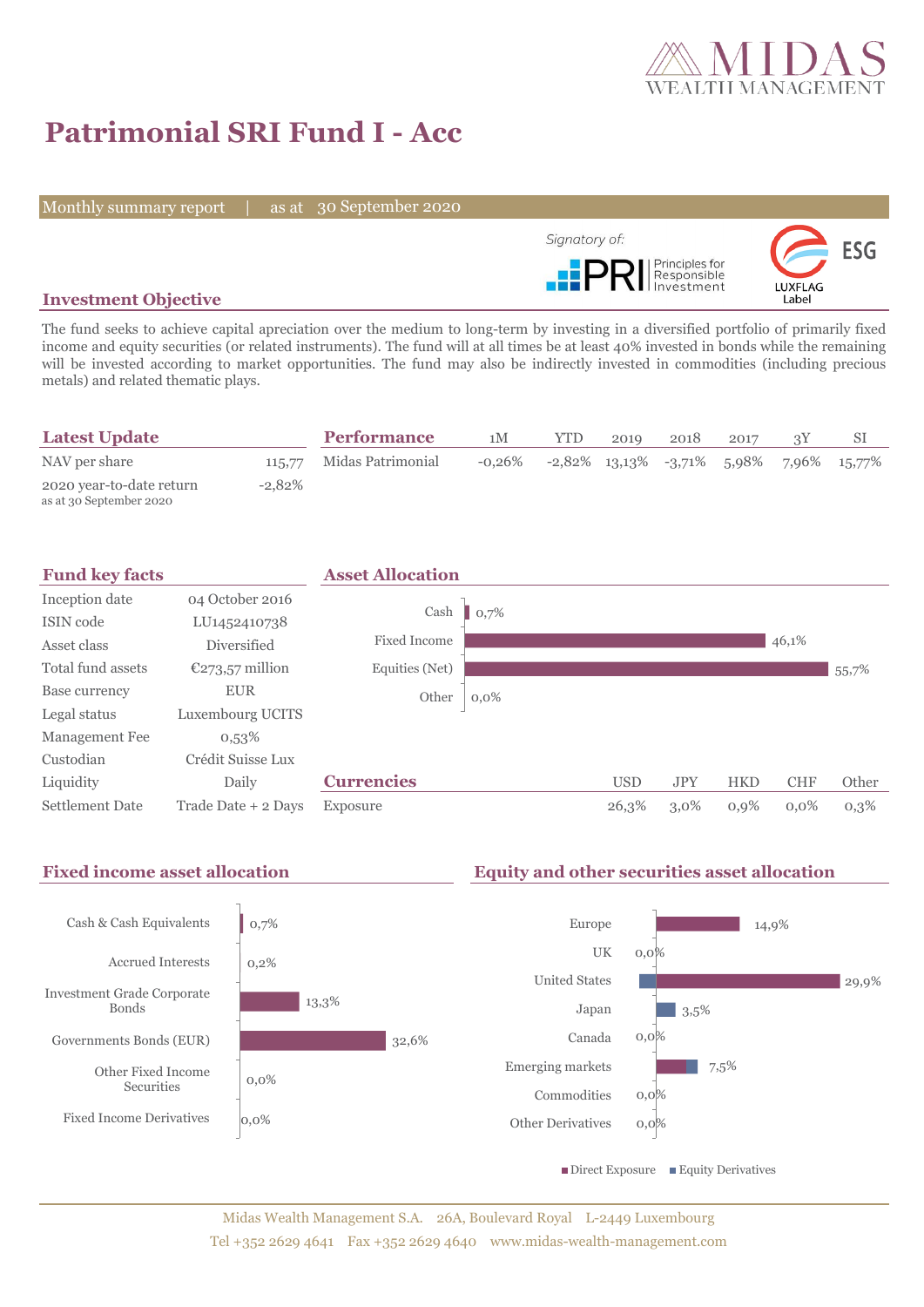

# **Patrimonial SRI Fund I - Acc**

Monthly summary report | as at 30 September 2020



#### **Investment Objective**

The fund seeks to achieve capital apreciation over the medium to long-term by investing in a diversified portfolio of primarily fixed income and equity securities (or related instruments). The fund will at all times be at least 40% invested in bonds while the remaining will be invested according to market opportunities. The fund may also be indirectly invested in commodities (including precious metals) and related thematic plays.

| <b>Latest Update</b>                                |           | <b>Performance</b> | 1M     | YTD. | 2019 | 2018 | 2017 |                                                   |
|-----------------------------------------------------|-----------|--------------------|--------|------|------|------|------|---------------------------------------------------|
| NAV per share                                       | 115,77    | Midas Patrimonial  | -0.26% |      |      |      |      | $-2,82\%$ 13,13\% $-3,71\%$ 5,98\% 7,96\% 15,77\% |
| 2020 year-to-date return<br>as at 30 September 2020 | $-2.82\%$ |                    |        |      |      |      |      |                                                   |



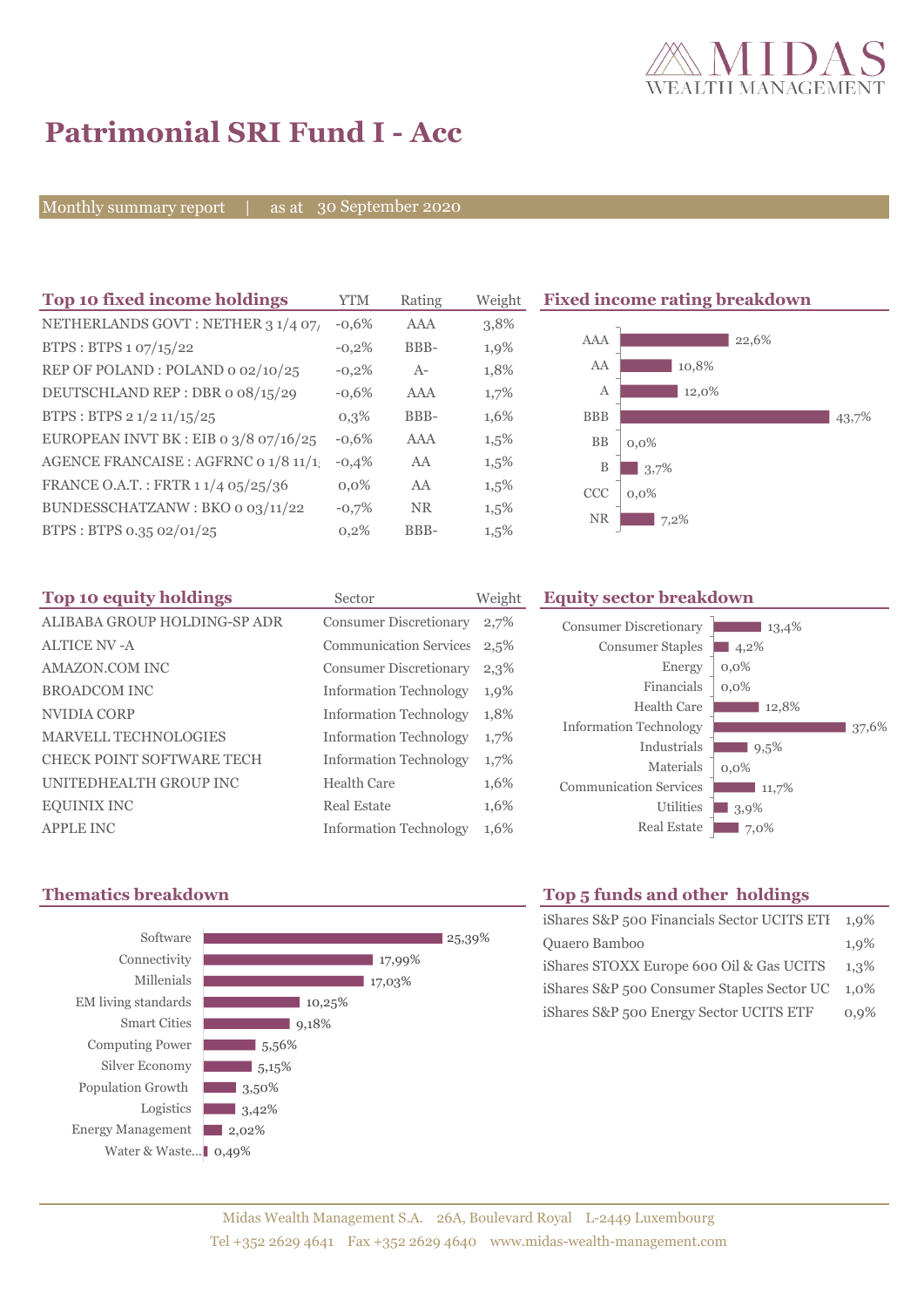

43,7%

# **Patrimonial SRI Fund I - Acc**

Monthly summary report | as at 30 September 2020

| Top 10 fixed income holdings                       | <b>YTM</b> | Rating    | Weight  | <b>Fixed income rating breakdown</b> |
|----------------------------------------------------|------------|-----------|---------|--------------------------------------|
| NETHERLANDS GOVT: NETHER 3 1/4 07/                 | $-0.6%$    | AAA       | 3,8%    |                                      |
| BTPS: BTPS 1 07/15/22                              | $-0.2%$    | BBB-      | 1,9%    | AAA<br>22,6%                         |
| REP OF POLAND: POLAND 0 02/10/25                   | $-0,2%$    | $A-$      | 1,8%    | AA<br>10,8%                          |
| DEUTSCHLAND REP: DBR o 08/15/29                    | $-0.6%$    | AAA       | 1,7%    | 12,0%<br>А                           |
| BTPS : BTPS $2 \frac{1}{2} \frac{11}{15} \cdot 25$ | $0,3\%$    | BBB-      | 1,6%    | <b>BBB</b>                           |
| EUROPEAN INVT BK : EIB o $3/8$ 07/16/25            | $-0.6%$    | AAA       | $1,5\%$ | <b>BB</b><br>$0.0\%$                 |
| AGENCE FRANCAISE : AGFRNC 0 1/8 11/1               | $-0,4%$    | AA        | $1,5\%$ | B<br>3,7%                            |
| FRANCE O.A.T.: FRTR 1 1/4 05/25/36                 | $0,0\%$    | AA        | $1,5\%$ | CCC<br>$0.0\%$                       |
| BUNDESSCHATZANW : BKO o 03/11/22                   | $-0,7%$    | <b>NR</b> | $1,5\%$ | <b>NR</b>                            |
| BTPS: BTPS 0.35 02/01/25                           | 0,2%       | BBB-      | $1,5\%$ | 7,2%                                 |

| Top 10 equity holdings           | Sector                        | Weight |
|----------------------------------|-------------------------------|--------|
| ALIBABA GROUP HOLDING-SP ADR     | <b>Consumer Discretionary</b> | 2,7%   |
| <b>ALTICE NV - A</b>             | <b>Communication Services</b> | 2,5%   |
| <b>AMAZON.COM INC</b>            | <b>Consumer Discretionary</b> | 2,3%   |
| <b>BROADCOM INC</b>              | <b>Information Technology</b> | 1,9%   |
| NVIDIA CORP                      | <b>Information Technology</b> | 1,8%   |
| <b>MARVELL TECHNOLOGIES</b>      | <b>Information Technology</b> | 1,7%   |
| <b>CHECK POINT SOFTWARE TECH</b> | <b>Information Technology</b> | 1,7%   |
| UNITEDHEALTH GROUP INC           | Health Care                   | 1,6%   |
| <b>EQUINIX INC</b>               | Real Estate                   | 1,6%   |
| <b>APPLE INC</b>                 | <b>Information Technology</b> | 1,6%   |



## **Equity sector breakdown**

| <b>Consumer Discretionary</b> | 13,4%   |
|-------------------------------|---------|
| <b>Consumer Staples</b>       | 4,2%    |
| Energy                        | $0,0\%$ |
| Financials                    | $0.0\%$ |
| Health Care                   | 12,8%   |
| <b>Information Technology</b> | 37.6%   |
| Industrials                   | 9,5%    |
| Materials                     | $0.0\%$ |
| <b>Communication Services</b> | 11,7%   |
| <b>Utilities</b>              | 3,9%    |
| <b>Real Estate</b>            | 7,0%    |

### **Thematics breakdown Top 5 funds and other holdings**

| iShares S&P 500 Financials Sector UCITS ETI | $1,9\%$ |
|---------------------------------------------|---------|
| Quaero Bamboo                               | 1,9%    |
| iShares STOXX Europe 600 Oil & Gas UCITS    | 1.3%    |
| iShares S&P 500 Consumer Staples Sector UC  | 1.0%    |
| iShares S&P 500 Energy Sector UCITS ETF     | $0.9\%$ |